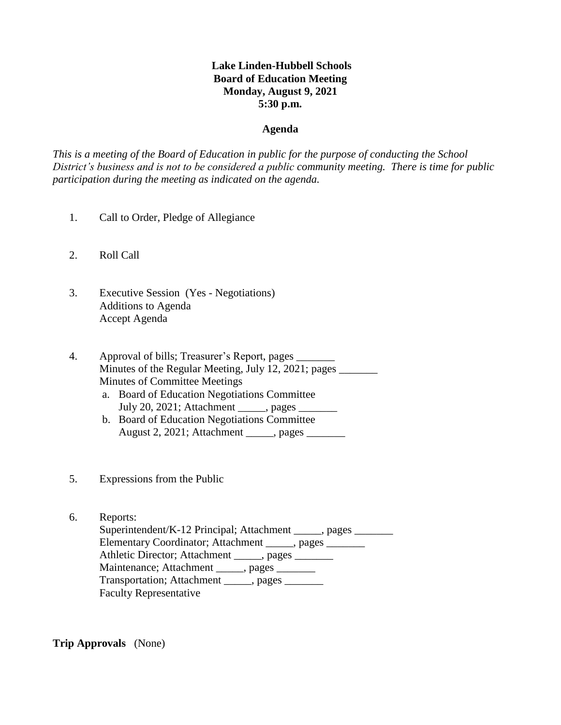# **Lake Linden-Hubbell Schools Board of Education Meeting Monday, August 9, 2021 5:30 p.m.**

#### **Agenda**

*This is a meeting of the Board of Education in public for the purpose of conducting the School District's business and is not to be considered a public community meeting. There is time for public participation during the meeting as indicated on the agenda.*

- 1. Call to Order, Pledge of Allegiance
- 2. Roll Call
- 3. Executive Session (Yes Negotiations) Additions to Agenda Accept Agenda
- 4. Approval of bills; Treasurer's Report, pages \_\_\_\_\_\_\_ Minutes of the Regular Meeting, July 12, 2021; pages Minutes of Committee Meetings
	- a. Board of Education Negotiations Committee July 20, 2021; Attachment \_\_\_\_\_, pages \_\_\_\_\_\_\_
	- b. Board of Education Negotiations Committee August 2, 2021; Attachment \_\_\_\_\_, pages \_\_\_\_\_\_\_
- 5. Expressions from the Public
- 6. Reports: Superintendent/K-12 Principal; Attachment \_\_\_\_\_, pages \_\_\_\_\_\_\_ Elementary Coordinator; Attachment \_\_\_\_\_, pages \_\_\_\_\_\_\_ Athletic Director; Attachment \_\_\_\_\_, pages \_\_\_\_\_\_\_ Maintenance; Attachment \_\_\_\_\_, pages \_\_\_\_\_\_ Transportation; Attachment \_\_\_\_\_, pages Faculty Representative

**Trip Approvals** (None)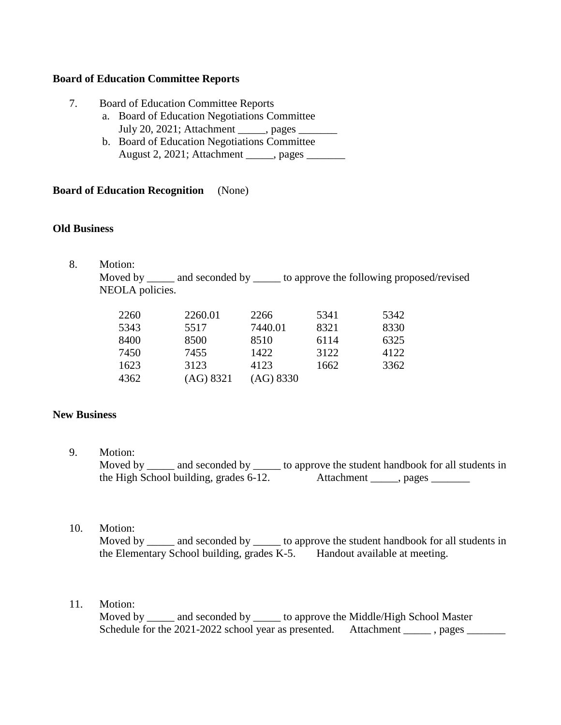## **Board of Education Committee Reports**

- 7. Board of Education Committee Reports
	- a. Board of Education Negotiations Committee July 20, 2021; Attachment \_\_\_\_\_, pages \_\_\_\_\_\_\_
	- b. Board of Education Negotiations Committee August 2, 2021; Attachment \_\_\_\_\_, pages \_\_\_\_\_\_\_

#### **Board of Education Recognition** (None)

#### **Old Business**

8. Motion:

 Moved by \_\_\_\_\_ and seconded by \_\_\_\_\_ to approve the following proposed/revised NEOLA policies.

| 2260 | 2260.01   | 2266      | 5341 | 5342 |
|------|-----------|-----------|------|------|
| 5343 | 5517      | 7440.01   | 8321 | 8330 |
| 8400 | 8500      | 8510      | 6114 | 6325 |
| 7450 | 7455      | 1422      | 3122 | 4122 |
| 1623 | 3123      | 4123      | 1662 | 3362 |
| 4362 | (AG) 8321 | (AG) 8330 |      |      |
|      |           |           |      |      |

## **New Business**

9. Motion:

Moved by \_\_\_\_\_ and seconded by \_\_\_\_\_ to approve the student handbook for all students in the High School building, grades 6-12. Attachment \_\_\_\_\_, pages \_\_\_\_\_\_\_

10. Motion:

Moved by \_\_\_\_\_ and seconded by \_\_\_\_\_ to approve the student handbook for all students in the Elementary School building, grades K-5. Handout available at meeting.

# 11. Motion:

Moved by \_\_\_\_\_\_ and seconded by \_\_\_\_\_\_ to approve the Middle/High School Master Schedule for the 2021-2022 school year as presented. Attachment \_\_\_\_\_\_, pages \_\_\_\_\_\_\_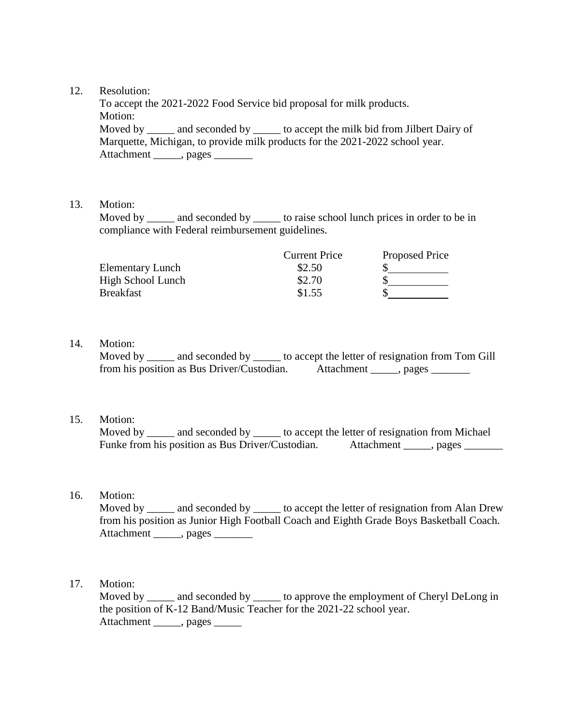## 12. Resolution:

 To accept the 2021-2022 Food Service bid proposal for milk products. Motion: Moved by \_\_\_\_\_ and seconded by \_\_\_\_\_ to accept the milk bid from Jilbert Dairy of Marquette, Michigan, to provide milk products for the 2021-2022 school year. Attachment \_\_\_\_\_, pages \_\_\_\_\_

## 13. Motion:

Moved by \_\_\_\_\_ and seconded by \_\_\_\_\_ to raise school lunch prices in order to be in compliance with Federal reimbursement guidelines.

|                         | <b>Current Price</b> | Proposed Price |
|-------------------------|----------------------|----------------|
| <b>Elementary Lunch</b> | \$2.50               |                |
| High School Lunch       | \$2.70               |                |
| <b>Breakfast</b>        | \$1.55               |                |

# 14. Motion:

Moved by \_\_\_\_\_ and seconded by \_\_\_\_\_\_ to accept the letter of resignation from Tom Gill from his position as Bus Driver/Custodian. Attachment \_\_\_\_\_, pages \_\_\_\_\_\_\_

## 15. Motion:

Moved by \_\_\_\_\_ and seconded by \_\_\_\_\_\_ to accept the letter of resignation from Michael Funke from his position as Bus Driver/Custodian. Attachment \_\_\_\_\_, pages \_\_\_\_\_\_\_

# 16. Motion:

Moved by \_\_\_\_\_ and seconded by \_\_\_\_\_ to accept the letter of resignation from Alan Drew from his position as Junior High Football Coach and Eighth Grade Boys Basketball Coach. Attachment \_\_\_\_\_, pages \_\_\_\_\_\_\_

## 17. Motion:

Moved by and seconded by to approve the employment of Cheryl DeLong in the position of K-12 Band/Music Teacher for the 2021-22 school year. Attachment \_\_\_\_\_, pages \_\_\_\_\_